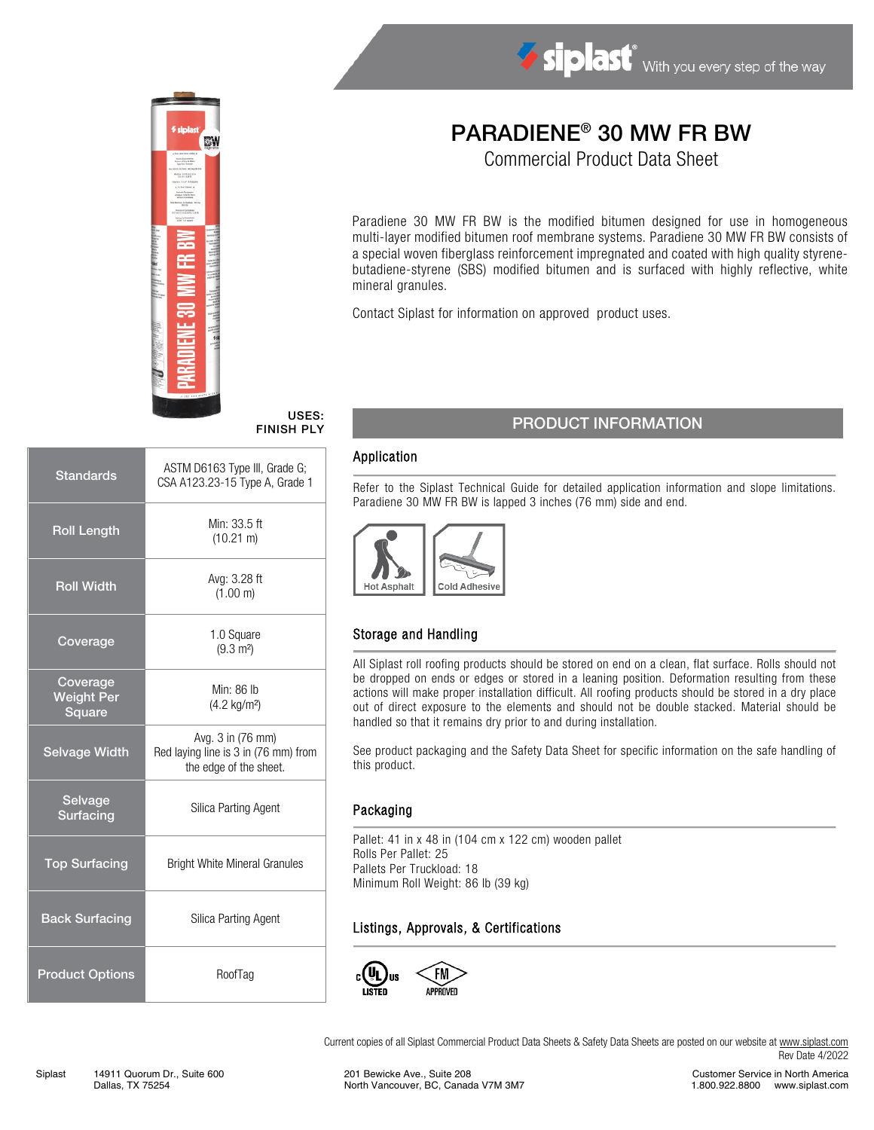

# PARADIENE® 30 MW FR BW

Commercial Product Data Sheet

Paradiene 30 MW FR BW is the modified bitumen designed for use in homogeneous multi-layer modified bitumen roof membrane systems. Paradiene 30 MW FR BW consists of a special woven fiberglass reinforcement impregnated and coated with high quality styrenebutadiene-styrene (SBS) modified bitumen and is surfaced with highly reflective, white mineral granules.

Contact Siplast for information on approved product uses.

#### USES: FINISH PLY

| <b>Standards</b>                        | ASTM D6163 Type III, Grade G;<br>CSA A123.23-15 Type A, Grade 1                     |  |  |
|-----------------------------------------|-------------------------------------------------------------------------------------|--|--|
| <b>Roll Length</b>                      | Min: 33.5 ft<br>$(10.21 \text{ m})$                                                 |  |  |
| <b>Roll Width</b>                       | Avg: 3.28 ft<br>(1.00 m)                                                            |  |  |
| Coverage                                | 1.0 Square<br>$(9.3 \text{ m}^2)$                                                   |  |  |
| Coverage<br><b>Weight Per</b><br>Square | Min: 86 lb<br>$(4.2 \text{ kg/m}^2)$                                                |  |  |
| <b>Selvage Width</b>                    | Avg. 3 in (76 mm)<br>Red laying line is 3 in (76 mm) from<br>the edge of the sheet. |  |  |
| Selvage<br>Surfacing                    | Silica Parting Agent                                                                |  |  |
| <b>Top Surfacing</b>                    | <b>Bright White Mineral Granules</b>                                                |  |  |
| <b>Back Surfacing</b>                   | Silica Parting Agent                                                                |  |  |
| <b>Product Options</b>                  | RoofTag                                                                             |  |  |

## PRODUCT INFORMATION

#### Application

Refer to the Siplast Technical Guide for detailed application information and slope limitations. Paradiene 30 MW FR BW is lapped 3 inches (76 mm) side and end.



### Storage and Handling

All Siplast roll roofing products should be stored on end on a clean, flat surface. Rolls should not be dropped on ends or edges or stored in a leaning position. Deformation resulting from these actions will make proper installation difficult. All roofing products should be stored in a dry place out of direct exposure to the elements and should not be double stacked. Material should be handled so that it remains dry prior to and during installation.

See product packaging and the Safety Data Sheet for specific information on the safe handling of this product.

#### Packaging

Pallet: 41 in x 48 in (104 cm x 122 cm) wooden pallet Rolls Per Pallet: 25 Pallets Per Truckload: 18 Minimum Roll Weight: 86 lb (39 kg)

#### Listings, Approvals, & Certifications



Current copies of all Siplast Commercial Product Data Sheets & Safety Data Sheets are posted on our website a[t www.siplast.com](http://www.siplast.com/) Rev Date 4/2022